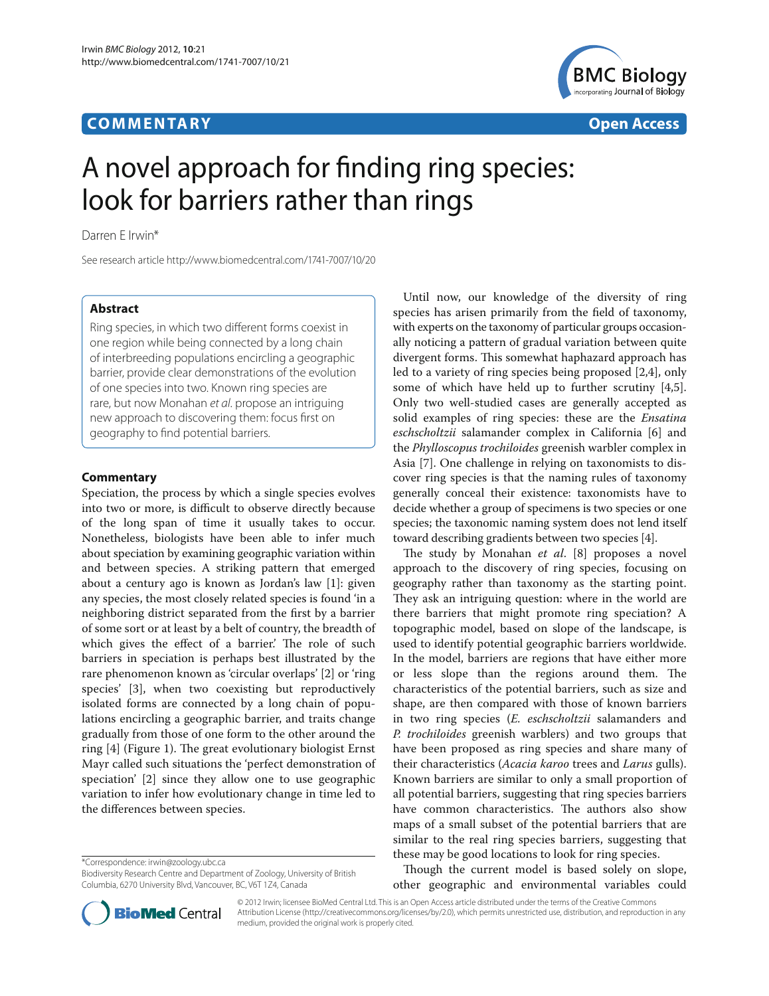# **COMMENTARY COMMENTARY COMMENTARY**



# A novel approach for finding ring species: look for barriers rather than rings

Darren E Irwin\*

See research article http://www.biomedcentral.com/1741-7007/10/20

# **Abstract**

Ring species, in which two different forms coexist in one region while being connected by a long chain of interbreeding populations encircling a geographic barrier, provide clear demonstrations of the evolution of one species into two. Known ring species are rare, but now Monahan et al. propose an intriguing new approach to discovering them: focus first on geography to find potential barriers.

## **Commentary**

Speciation, the process by which a single species evolves into two or more, is difficult to observe directly because of the long span of time it usually takes to occur. Nonetheless, biologists have been able to infer much about speciation by examining geographic variation within and between species. A striking pattern that emerged about a century ago is known as Jordan's law [1]: given any species, the most closely related species is found 'in a neighboring district separated from the first by a barrier of some sort or at least by a belt of country, the breadth of which gives the effect of a barrier.' The role of such barriers in speciation is perhaps best illustrated by the rare phenomenon known as 'circular overlaps' [2] or 'ring species' [3], when two coexisting but reproductively isolated forms are connected by a long chain of populations encircling a geographic barrier, and traits change gradually from those of one form to the other around the ring [4] (Figure 1). The great evolutionary biologist Ernst Mayr called such situations the 'perfect demonstration of speciation' [2] since they allow one to use geographic variation to infer how evolutionary change in time led to the differences between species.

\*Correspondence: irwin@zoology.ubc.ca

Biodiversity Research Centre and Department of Zoology, University of British Columbia, 6270 University Blvd, Vancouver, BC, V6T 1Z4, Canada

Until now, our knowledge of the diversity of ring species has arisen primarily from the field of taxonomy, with experts on the taxonomy of particular groups occasionally noticing a pattern of gradual variation between quite divergent forms. This somewhat haphazard approach has led to a variety of ring species being proposed [2,4], only some of which have held up to further scrutiny [4,5]. Only two well-studied cases are generally accepted as solid examples of ring species: these are the *Ensatina eschscholtzii* salamander complex in California [6] and the *Phylloscopus trochiloides* greenish warbler complex in Asia [7]. One challenge in relying on taxonomists to discover ring species is that the naming rules of taxonomy generally conceal their existence: taxonomists have to decide whether a group of specimens is two species or one species; the taxonomic naming system does not lend itself toward describing gradients between two species [4].

The study by Monahan *et al*. [8] proposes a novel approach to the discovery of ring species, focusing on geography rather than taxonomy as the starting point. They ask an intriguing question: where in the world are there barriers that might promote ring speciation? A topographic model, based on slope of the landscape, is used to identify potential geographic barriers worldwide. In the model, barriers are regions that have either more or less slope than the regions around them. The characteristics of the potential barriers, such as size and shape, are then compared with those of known barriers in two ring species (*E. eschscholtzii* salamanders and *P. trochiloides* greenish warblers) and two groups that have been proposed as ring species and share many of their characteristics (*Acacia karoo* trees and *Larus* gulls). Known barriers are similar to only a small proportion of all potential barriers, suggesting that ring species barriers have common characteristics. The authors also show maps of a small subset of the potential barriers that are similar to the real ring species barriers, suggesting that these may be good locations to look for ring species.

Though the current model is based solely on slope, other geographic and environmental variables could



© 2012 Irwin; licensee BioMed Central Ltd. This is an Open Access article distributed under the terms of the Creative Commons Attribution License (http://creativecommons.org/licenses/by/2.0), which permits unrestricted use, distribution, and reproduction in any medium, provided the original work is properly cited.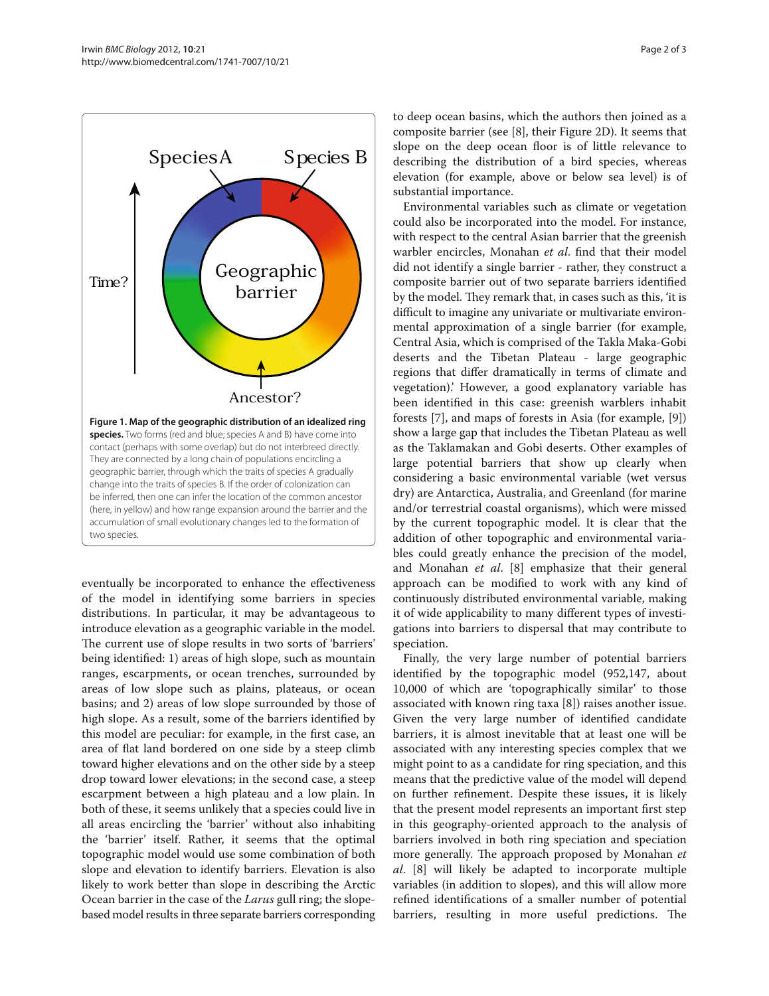

eventually be incorporated to enhance the effectiveness of the model in identifying some barriers in species distributions. In particular, it may be advantageous to introduce elevation as a geographic variable in the model. The current use of slope results in two sorts of 'barriers' being identified: 1) areas of high slope, such as mountain ranges, escarpments, or ocean trenches, surrounded by areas of low slope such as plains, plateaus, or ocean basins; and 2) areas of low slope surrounded by those of high slope. As a result, some of the barriers identified by this model are peculiar: for example, in the first case, an area of flat land bordered on one side by a steep climb toward higher elevations and on the other side by a steep drop toward lower elevations; in the second case, a steep escarpment between a high plateau and a low plain. In both of these, it seems unlikely that a species could live in all areas encircling the 'barrier' without also inhabiting the 'barrier' itself. Rather, it seems that the optimal topographic model would use some combination of both slope and elevation to identify barriers. Elevation is also likely to work better than slope in describing the Arctic Ocean barrier in the case of the *Larus* gull ring; the slopebased model results in three separate barriers corresponding to deep ocean basins, which the authors then joined as a composite barrier (see [8], their Figure 2D). It seems that slope on the deep ocean floor is of little relevance to describing the distribution of a bird species, whereas elevation (for example, above or below sea level) is of substantial importance.

Environmental variables such as climate or vegetation could also be incorporated into the model. For instance, with respect to the central Asian barrier that the greenish warbler encircles, Monahan *et al*. find that their model did not identify a single barrier - rather, they construct a composite barrier out of two separate barriers identified by the model. They remark that, in cases such as this, 'it is difficult to imagine any univariate or multivariate environmental approximation of a single barrier (for example, Central Asia, which is comprised of the Takla Maka-Gobi deserts and the Tibetan Plateau - large geographic regions that differ dramatically in terms of climate and vegetation).' However, a good explanatory variable has been identified in this case: greenish warblers inhabit forests [7], and maps of forests in Asia (for example, [9]) show a large gap that includes the Tibetan Plateau as well as the Taklamakan and Gobi deserts. Other examples of large potential barriers that show up clearly when considering a basic environmental variable (wet versus dry) are Antarctica, Australia, and Greenland (for marine and/or terrestrial coastal organisms), which were missed by the current topographic model. It is clear that the addition of other topographic and environmental variables could greatly enhance the precision of the model, and Monahan *et al*. [8] emphasize that their general approach can be modified to work with any kind of continuously distributed environmental variable, making it of wide applicability to many different types of investigations into barriers to dispersal that may contribute to speciation.

Finally, the very large number of potential barriers identified by the topographic model (952,147, about 10,000 of which are 'topographically similar' to those associated with known ring taxa [8]) raises another issue. Given the very large number of identified candidate barriers, it is almost inevitable that at least one will be associated with any interesting species complex that we might point to as a candidate for ring speciation, and this means that the predictive value of the model will depend on further refinement. Despite these issues, it is likely that the present model represents an important first step in this geography-oriented approach to the analysis of barriers involved in both ring speciation and speciation more generally. The approach proposed by Monahan *et al*. [8] will likely be adapted to incorporate multiple variables (in addition to slopes), and this will allow more refined identifications of a smaller number of potential barriers, resulting in more useful predictions. The